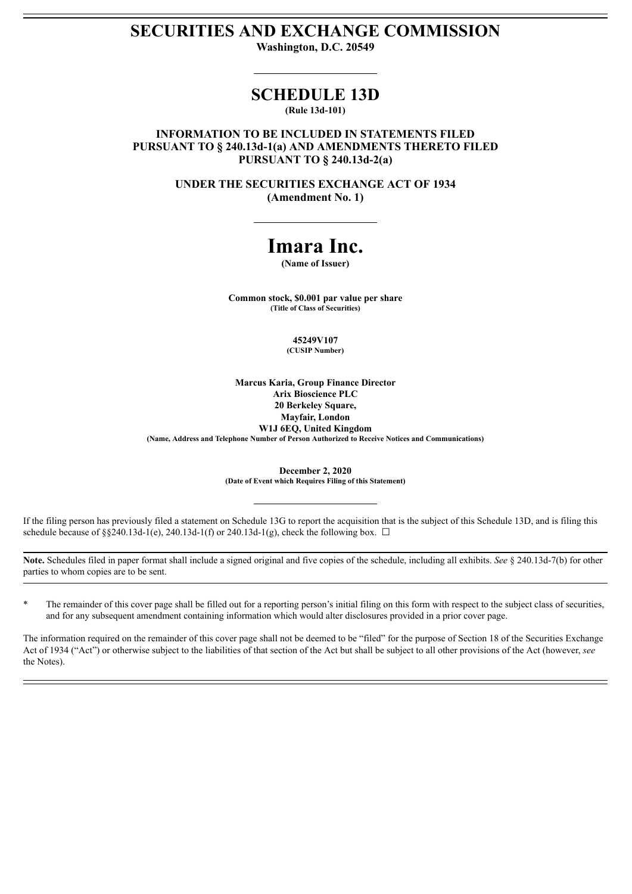# **SECURITIES AND EXCHANGE COMMISSION**

**Washington, D.C. 20549**

## **SCHEDULE 13D**

**(Rule 13d-101)**

**INFORMATION TO BE INCLUDED IN STATEMENTS FILED PURSUANT TO § 240.13d-1(a) AND AMENDMENTS THERETO FILED PURSUANT TO § 240.13d-2(a)**

> **UNDER THE SECURITIES EXCHANGE ACT OF 1934 (Amendment No. 1)**

## **Imara Inc.**

**(Name of Issuer)**

**Common stock, \$0.001 par value per share (Title of Class of Securities)**

> **45249V107 (CUSIP Number)**

**Marcus Karia, Group Finance Director Arix Bioscience PLC 20 Berkeley Square, Mayfair, London W1J 6EQ, United Kingdom (Name, Address and Telephone Number of Person Authorized to Receive Notices and Communications)**

> **December 2, 2020 (Date of Event which Requires Filing of this Statement)**

If the filing person has previously filed a statement on Schedule 13G to report the acquisition that is the subject of this Schedule 13D, and is filing this schedule because of §§240.13d-1(e), 240.13d-1(f) or 240.13d-1(g), check the following box.  $\Box$ 

**Note.** Schedules filed in paper format shall include a signed original and five copies of the schedule, including all exhibits. *See* § 240.13d-7(b) for other parties to whom copies are to be sent.

\* The remainder of this cover page shall be filled out for a reporting person's initial filing on this form with respect to the subject class of securities, and for any subsequent amendment containing information which would alter disclosures provided in a prior cover page.

The information required on the remainder of this cover page shall not be deemed to be "filed" for the purpose of Section 18 of the Securities Exchange Act of 1934 ("Act") or otherwise subject to the liabilities of that section of the Act but shall be subject to all other provisions of the Act (however, see the Notes).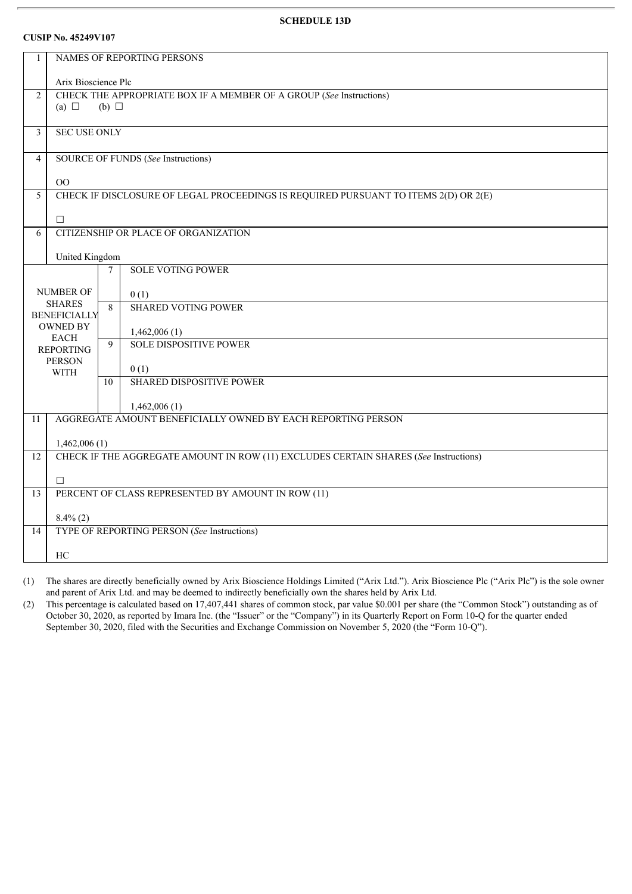### **SCHEDULE 13D**

#### **CUSIP No. 45249V107**

| 1               | NAMES OF REPORTING PERSONS                                                                 |        |                                                                                     |  |  |  |
|-----------------|--------------------------------------------------------------------------------------------|--------|-------------------------------------------------------------------------------------|--|--|--|
|                 |                                                                                            |        |                                                                                     |  |  |  |
| $\overline{2}$  | Arix Bioscience Plc<br>CHECK THE APPROPRIATE BOX IF A MEMBER OF A GROUP (See Instructions) |        |                                                                                     |  |  |  |
|                 | (a) $\Box$<br>(b) $\Box$                                                                   |        |                                                                                     |  |  |  |
|                 |                                                                                            |        |                                                                                     |  |  |  |
| $\mathfrak{Z}$  | <b>SEC USE ONLY</b>                                                                        |        |                                                                                     |  |  |  |
| $\overline{4}$  |                                                                                            |        |                                                                                     |  |  |  |
|                 | SOURCE OF FUNDS (See Instructions)                                                         |        |                                                                                     |  |  |  |
|                 | OO                                                                                         |        |                                                                                     |  |  |  |
| 5               |                                                                                            |        | CHECK IF DISCLOSURE OF LEGAL PROCEEDINGS IS REQUIRED PURSUANT TO ITEMS 2(D) OR 2(E) |  |  |  |
|                 |                                                                                            |        |                                                                                     |  |  |  |
| 6               | $\Box$                                                                                     |        | CITIZENSHIP OR PLACE OF ORGANIZATION                                                |  |  |  |
|                 |                                                                                            |        |                                                                                     |  |  |  |
|                 | United Kingdom                                                                             |        |                                                                                     |  |  |  |
|                 |                                                                                            | $\tau$ | <b>SOLE VOTING POWER</b>                                                            |  |  |  |
|                 | <b>NUMBER OF</b>                                                                           |        | 0(1)                                                                                |  |  |  |
|                 | <b>SHARES</b>                                                                              | 8      | <b>SHARED VOTING POWER</b>                                                          |  |  |  |
|                 | <b>BENEFICIALLY</b>                                                                        |        |                                                                                     |  |  |  |
|                 | <b>OWNED BY</b><br><b>EACH</b>                                                             |        | 1,462,006(1)                                                                        |  |  |  |
|                 | <b>REPORTING</b>                                                                           | 9      | <b>SOLE DISPOSITIVE POWER</b>                                                       |  |  |  |
|                 | <b>PERSON</b>                                                                              |        | 0(1)                                                                                |  |  |  |
|                 | <b>WITH</b>                                                                                | 10     | <b>SHARED DISPOSITIVE POWER</b>                                                     |  |  |  |
|                 |                                                                                            |        |                                                                                     |  |  |  |
|                 | 1,462,006(1)                                                                               |        |                                                                                     |  |  |  |
| 11              |                                                                                            |        | AGGREGATE AMOUNT BENEFICIALLY OWNED BY EACH REPORTING PERSON                        |  |  |  |
|                 | 1,462,006(1)                                                                               |        |                                                                                     |  |  |  |
| $\overline{12}$ | CHECK IF THE AGGREGATE AMOUNT IN ROW (11) EXCLUDES CERTAIN SHARES (See Instructions)       |        |                                                                                     |  |  |  |
|                 |                                                                                            |        |                                                                                     |  |  |  |
|                 | $\Box$                                                                                     |        |                                                                                     |  |  |  |
| 13              | PERCENT OF CLASS REPRESENTED BY AMOUNT IN ROW (11)                                         |        |                                                                                     |  |  |  |
|                 | $8.4\%$ (2)                                                                                |        |                                                                                     |  |  |  |
| 14              |                                                                                            |        | TYPE OF REPORTING PERSON (See Instructions)                                         |  |  |  |
|                 | HC                                                                                         |        |                                                                                     |  |  |  |
|                 |                                                                                            |        |                                                                                     |  |  |  |

(1) The shares are directly beneficially owned by Arix Bioscience Holdings Limited ("Arix Ltd."). Arix Bioscience Plc ("Arix Plc") is the sole owner and parent of Arix Ltd. and may be deemed to indirectly beneficially own the shares held by Arix Ltd.

(2) This percentage is calculated based on 17,407,441 shares of common stock, par value \$0.001 per share (the "Common Stock") outstanding as of October 30, 2020, as reported by Imara Inc. (the "Issuer" or the "Company") in its Quarterly Report on Form 10-Q for the quarter ended September 30, 2020, filed with the Securities and Exchange Commission on November 5, 2020 (the "Form 10-Q").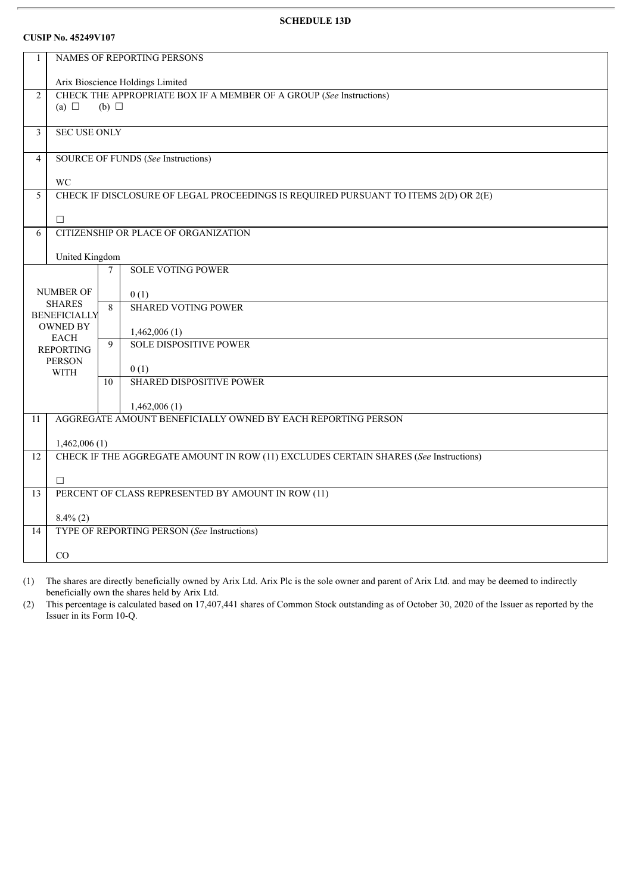### **SCHEDULE 13D**

## **CUSIP No. 45249V107**

| $\mathbf{1}$            | NAMES OF REPORTING PERSONS                                                   |    |                                                                                      |  |  |  |
|-------------------------|------------------------------------------------------------------------------|----|--------------------------------------------------------------------------------------|--|--|--|
|                         | Arix Bioscience Holdings Limited                                             |    |                                                                                      |  |  |  |
| $\overline{2}$          | CHECK THE APPROPRIATE BOX IF A MEMBER OF A GROUP (See Instructions)          |    |                                                                                      |  |  |  |
|                         | (a) $\Box$<br>$(b)$ $\square$                                                |    |                                                                                      |  |  |  |
| $\overline{\mathbf{3}}$ | <b>SEC USE ONLY</b>                                                          |    |                                                                                      |  |  |  |
| $\overline{4}$          | SOURCE OF FUNDS (See Instructions)                                           |    |                                                                                      |  |  |  |
|                         | <b>WC</b>                                                                    |    |                                                                                      |  |  |  |
| $\overline{5}$          |                                                                              |    | CHECK IF DISCLOSURE OF LEGAL PROCEEDINGS IS REQUIRED PURSUANT TO ITEMS 2(D) OR 2(E)  |  |  |  |
|                         | $\Box$                                                                       |    |                                                                                      |  |  |  |
| 6                       |                                                                              |    | CITIZENSHIP OR PLACE OF ORGANIZATION                                                 |  |  |  |
|                         |                                                                              |    |                                                                                      |  |  |  |
|                         | United Kingdom                                                               |    | <b>SOLE VOTING POWER</b>                                                             |  |  |  |
|                         | 7                                                                            |    |                                                                                      |  |  |  |
|                         | <b>NUMBER OF</b><br><b>SHARES</b>                                            |    | 0(1)                                                                                 |  |  |  |
|                         | <b>BENEFICIALLY</b>                                                          | 8  | <b>SHARED VOTING POWER</b>                                                           |  |  |  |
|                         | <b>OWNED BY</b>                                                              |    | 1,462,006(1)                                                                         |  |  |  |
|                         | <b>EACH</b><br><b>REPORTING</b>                                              | 9  | <b>SOLE DISPOSITIVE POWER</b>                                                        |  |  |  |
|                         | <b>PERSON</b>                                                                |    | 0(1)                                                                                 |  |  |  |
|                         | <b>WITH</b>                                                                  | 10 | <b>SHARED DISPOSITIVE POWER</b>                                                      |  |  |  |
|                         |                                                                              |    |                                                                                      |  |  |  |
| 11                      | 1,462,006(1)<br>AGGREGATE AMOUNT BENEFICIALLY OWNED BY EACH REPORTING PERSON |    |                                                                                      |  |  |  |
|                         |                                                                              |    |                                                                                      |  |  |  |
| $\overline{12}$         | 1,462,006(1)                                                                 |    | CHECK IF THE AGGREGATE AMOUNT IN ROW (11) EXCLUDES CERTAIN SHARES (See Instructions) |  |  |  |
|                         |                                                                              |    |                                                                                      |  |  |  |
|                         | $\Box$                                                                       |    |                                                                                      |  |  |  |
| 13                      |                                                                              |    | PERCENT OF CLASS REPRESENTED BY AMOUNT IN ROW (11)                                   |  |  |  |
|                         | $8.4\%$ (2)                                                                  |    |                                                                                      |  |  |  |
| 14                      |                                                                              |    | TYPE OF REPORTING PERSON (See Instructions)                                          |  |  |  |
|                         | CO                                                                           |    |                                                                                      |  |  |  |
|                         |                                                                              |    |                                                                                      |  |  |  |

(1) The shares are directly beneficially owned by Arix Ltd. Arix Plc is the sole owner and parent of Arix Ltd. and may be deemed to indirectly beneficially own the shares held by Arix Ltd.

(2) This percentage is calculated based on 17,407,441 shares of Common Stock outstanding as of October 30, 2020 of the Issuer as reported by the Issuer in its Form 10-Q.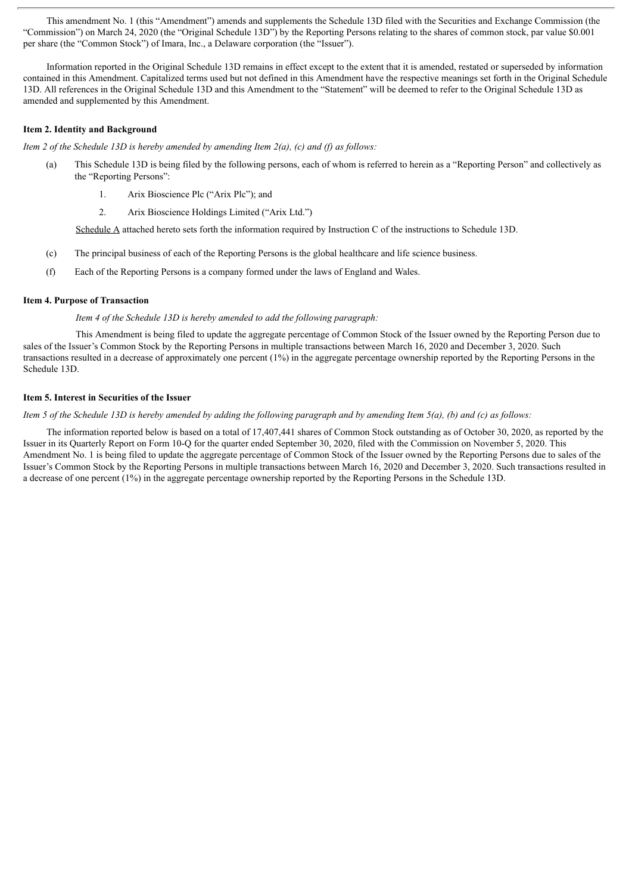This amendment No. 1 (this "Amendment") amends and supplements the Schedule 13D filed with the Securities and Exchange Commission (the "Commission") on March 24, 2020 (the "Original Schedule 13D") by the Reporting Persons relating to the shares of common stock, par value \$0.001 per share (the "Common Stock") of Imara, Inc., a Delaware corporation (the "Issuer").

Information reported in the Original Schedule 13D remains in effect except to the extent that it is amended, restated or superseded by information contained in this Amendment. Capitalized terms used but not defined in this Amendment have the respective meanings set forth in the Original Schedule 13D. All references in the Original Schedule 13D and this Amendment to the "Statement" will be deemed to refer to the Original Schedule 13D as amended and supplemented by this Amendment.

#### **Item 2. Identity and Background**

*Item 2 of the Schedule 13D is hereby amended by amending Item 2(a), (c) and (f) as follows:*

- (a) This Schedule 13D is being filed by the following persons, each of whom is referred to herein as a "Reporting Person" and collectively as the "Reporting Persons":
	- 1. Arix Bioscience Plc ("Arix Plc"); and
	- 2. Arix Bioscience Holdings Limited ("Arix Ltd.")

Schedule A attached hereto sets forth the information required by Instruction C of the instructions to Schedule 13D.

- (c) The principal business of each of the Reporting Persons is the global healthcare and life science business.
- (f) Each of the Reporting Persons is a company formed under the laws of England and Wales.

#### **Item 4. Purpose of Transaction**

*Item 4 of the Schedule 13D is hereby amended to add the following paragraph:*

This Amendment is being filed to update the aggregate percentage of Common Stock of the Issuer owned by the Reporting Person due to sales of the Issuer's Common Stock by the Reporting Persons in multiple transactions between March 16, 2020 and December 3, 2020. Such transactions resulted in a decrease of approximately one percent (1%) in the aggregate percentage ownership reported by the Reporting Persons in the Schedule 13D.

#### **Item 5. Interest in Securities of the Issuer**

Item 5 of the Schedule 13D is hereby amended by adding the following paragraph and by amending Item  $5(a)$ , (b) and (c) as follows:

The information reported below is based on a total of 17,407,441 shares of Common Stock outstanding as of October 30, 2020, as reported by the Issuer in its Quarterly Report on Form 10-Q for the quarter ended September 30, 2020, filed with the Commission on November 5, 2020. This Amendment No. 1 is being filed to update the aggregate percentage of Common Stock of the Issuer owned by the Reporting Persons due to sales of the Issuer's Common Stock by the Reporting Persons in multiple transactions between March 16, 2020 and December 3, 2020. Such transactions resulted in a decrease of one percent (1%) in the aggregate percentage ownership reported by the Reporting Persons in the Schedule 13D.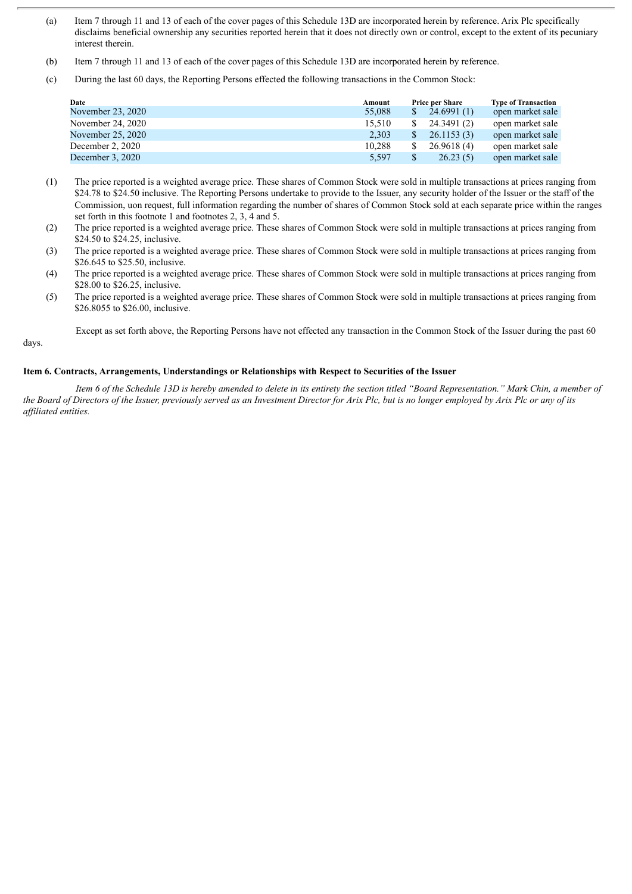- (a) Item 7 through 11 and 13 of each of the cover pages of this Schedule 13D are incorporated herein by reference. Arix Plc specifically disclaims beneficial ownership any securities reported herein that it does not directly own or control, except to the extent of its pecuniary interest therein.
- (b) Item 7 through 11 and 13 of each of the cover pages of this Schedule 13D are incorporated herein by reference.
- (c) During the last 60 days, the Reporting Persons effected the following transactions in the Common Stock:

| Date              | Amount | <b>Price per Share</b> | <b>Type of Transaction</b> |
|-------------------|--------|------------------------|----------------------------|
| November 23, 2020 | 55,088 | 24.6991(1)             | open market sale           |
| November 24, 2020 | 15.510 | 24.3491 (2)            | open market sale           |
| November 25, 2020 | 2.303  | 26.1153(3)             | open market sale           |
| December 2, 2020  | 10.288 | 26.9618(4)             | open market sale           |
| December 3, 2020  | 5,597  | 26.23(5)               | open market sale           |

- (1) The price reported is a weighted average price. These shares of Common Stock were sold in multiple transactions at prices ranging from \$24.78 to \$24.50 inclusive. The Reporting Persons undertake to provide to the Issuer, any security holder of the Issuer or the staff of the Commission, uon request, full information regarding the number of shares of Common Stock sold at each separate price within the ranges set forth in this footnote 1 and footnotes 2, 3, 4 and 5.
- (2) The price reported is a weighted average price. These shares of Common Stock were sold in multiple transactions at prices ranging from \$24.50 to \$24.25, inclusive.
- (3) The price reported is a weighted average price. These shares of Common Stock were sold in multiple transactions at prices ranging from \$26.645 to \$25.50, inclusive.
- (4) The price reported is a weighted average price. These shares of Common Stock were sold in multiple transactions at prices ranging from \$28.00 to \$26.25, inclusive.
- (5) The price reported is a weighted average price. These shares of Common Stock were sold in multiple transactions at prices ranging from \$26.8055 to \$26.00, inclusive.

Except as set forth above, the Reporting Persons have not effected any transaction in the Common Stock of the Issuer during the past 60

#### days.

#### **Item 6. Contracts, Arrangements, Understandings or Relationships with Respect to Securities of the Issuer**

Item 6 of the Schedule 13D is hereby amended to delete in its entirety the section titled "Board Representation." Mark Chin, a member of the Board of Directors of the Issuer, previously served as an Investment Director for Arix Plc, but is no longer employed by Arix Plc or any of its *af iliated entities.*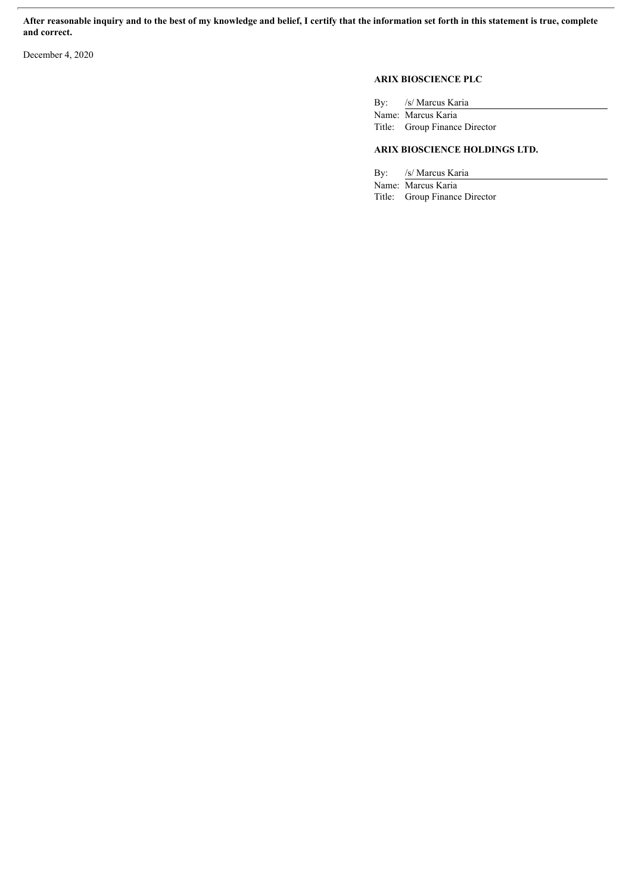After reasonable inquiry and to the best of my knowledge and belief, I certify that the information set forth in this statement is true, complete **and correct.**

December 4, 2020

## **ARIX BIOSCIENCE PLC**

| By: /s/ Marcus Karia          |
|-------------------------------|
| Name: Marcus Karia            |
| Title: Group Finance Director |

#### **ARIX BIOSCIENCE HOLDINGS LTD.**

By: /s/ Marcus Karia

Name: Marcus Karia Title: Group Finance Director